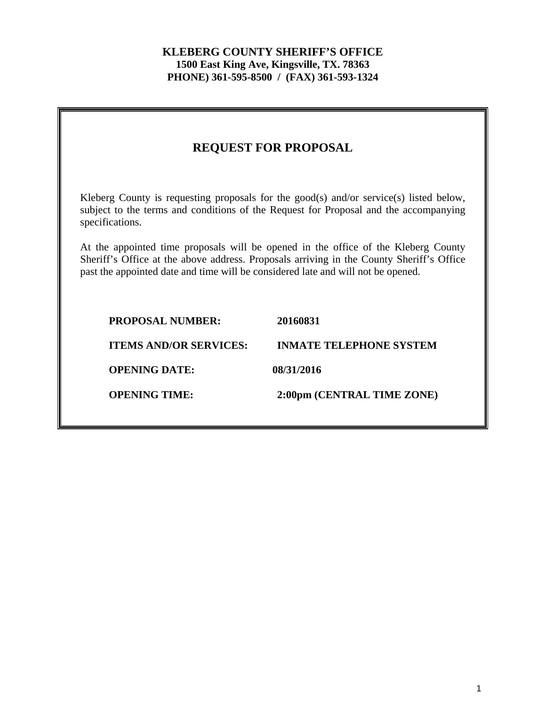## **KLEBERG COUNTY SHERIFF'S OFFICE 1500 East King Ave, Kingsville, TX. 78363 PHONE) 361-595-8500 / (FAX) 361-593-1324**

# **REQUEST FOR PROPOSAL**

Kleberg County is requesting proposals for the good(s) and/or service(s) listed below, subject to the terms and conditions of the Request for Proposal and the accompanying specifications.

At the appointed time proposals will be opened in the office of the Kleberg County Sheriff's Office at the above address. Proposals arriving in the County Sheriff's Office past the appointed date and time will be considered late and will not be opened.

| <b>PROPOSAL NUMBER:</b>       | 20160831                       |
|-------------------------------|--------------------------------|
| <b>ITEMS AND/OR SERVICES:</b> | <b>INMATE TELEPHONE SYSTEM</b> |
| <b>OPENING DATE:</b>          | 08/31/2016                     |
| <b>OPENING TIME:</b>          | 2:00pm (CENTRAL TIME ZONE)     |
|                               |                                |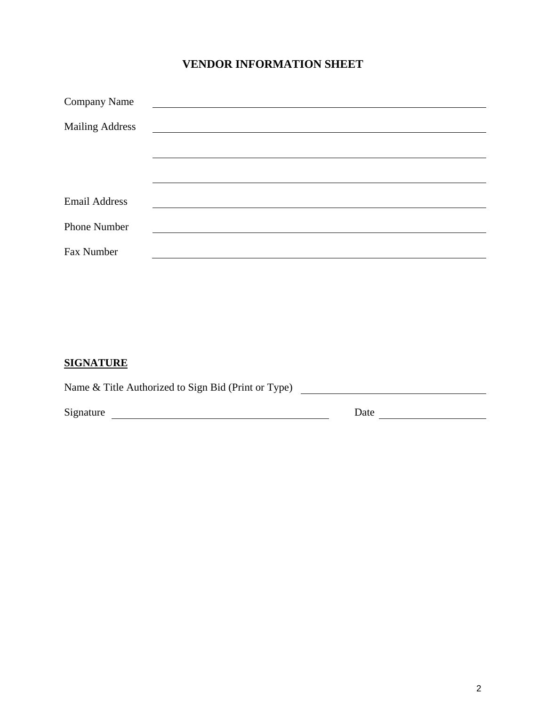# **VENDOR INFORMATION SHEET**

| Company Name           |                                                                                                                      |
|------------------------|----------------------------------------------------------------------------------------------------------------------|
|                        |                                                                                                                      |
| <b>Mailing Address</b> | <u> 1980 - Antonio Alemania, prima postala de la contrada de la contrada de la contrada de la contrada de la con</u> |
|                        |                                                                                                                      |
|                        |                                                                                                                      |
|                        |                                                                                                                      |
| <b>Email Address</b>   |                                                                                                                      |
| <b>Phone Number</b>    |                                                                                                                      |
|                        |                                                                                                                      |
| Fax Number             |                                                                                                                      |

## **SIGNATURE**

| Name & Title Authorized to Sign Bid (Print or Type) |      |  |  |  |
|-----------------------------------------------------|------|--|--|--|
| Signature                                           | Date |  |  |  |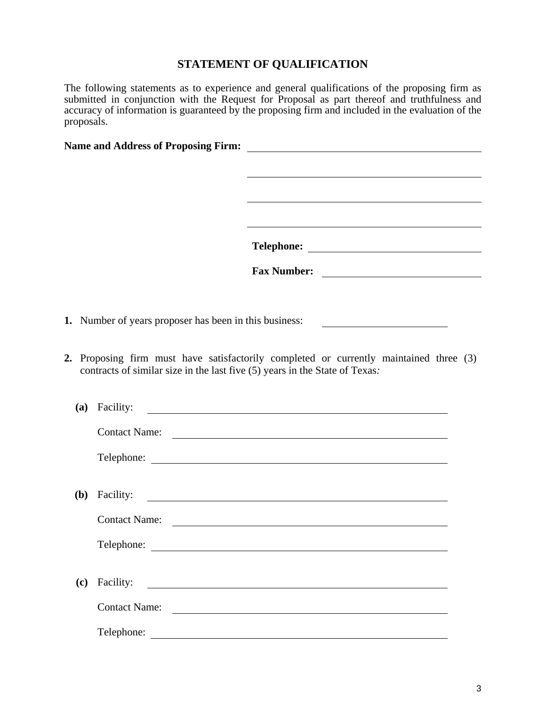## **STATEMENT OF QUALIFICATION**

The following statements as to experience and general qualifications of the proposing firm as submitted in conjunction with the Request for Proposal as part thereof and truthfulness and accuracy of information is guaranteed by the proposing firm and included in the evaluation of the proposals.

| <b>Name and Address of Proposing Firm:</b>                                                                                                                            |                                                                                                                                    |                                                                                                                                                                                                                                |  |  |  |
|-----------------------------------------------------------------------------------------------------------------------------------------------------------------------|------------------------------------------------------------------------------------------------------------------------------------|--------------------------------------------------------------------------------------------------------------------------------------------------------------------------------------------------------------------------------|--|--|--|
|                                                                                                                                                                       |                                                                                                                                    |                                                                                                                                                                                                                                |  |  |  |
|                                                                                                                                                                       |                                                                                                                                    |                                                                                                                                                                                                                                |  |  |  |
|                                                                                                                                                                       |                                                                                                                                    |                                                                                                                                                                                                                                |  |  |  |
|                                                                                                                                                                       |                                                                                                                                    |                                                                                                                                                                                                                                |  |  |  |
|                                                                                                                                                                       |                                                                                                                                    | Fax Number:                                                                                                                                                                                                                    |  |  |  |
|                                                                                                                                                                       |                                                                                                                                    |                                                                                                                                                                                                                                |  |  |  |
|                                                                                                                                                                       | 1. Number of years proposer has been in this business:                                                                             |                                                                                                                                                                                                                                |  |  |  |
| 2. Proposing firm must have satisfactorily completed or currently maintained three (3)<br>contracts of similar size in the last five (5) years in the State of Texas: |                                                                                                                                    |                                                                                                                                                                                                                                |  |  |  |
| <b>(a)</b>                                                                                                                                                            |                                                                                                                                    | Facility: The Commission of the Commission of the Commission of the Commission of the Commission of the Commission of the Commission of the Commission of the Commission of the Commission of the Commission of the Commission |  |  |  |
|                                                                                                                                                                       |                                                                                                                                    | Contact Name:                                                                                                                                                                                                                  |  |  |  |
|                                                                                                                                                                       |                                                                                                                                    |                                                                                                                                                                                                                                |  |  |  |
| ( <b>b</b> )                                                                                                                                                          |                                                                                                                                    |                                                                                                                                                                                                                                |  |  |  |
|                                                                                                                                                                       | <b>Contact Name:</b>                                                                                                               |                                                                                                                                                                                                                                |  |  |  |
|                                                                                                                                                                       | Telephone:                                                                                                                         |                                                                                                                                                                                                                                |  |  |  |
| (c)                                                                                                                                                                   | Facility:<br><u> Terminal de la propincia de la propincia de la propincia de la propincia de la propincia de la propincia de l</u> |                                                                                                                                                                                                                                |  |  |  |
|                                                                                                                                                                       | <b>Contact Name:</b>                                                                                                               | <u> 1980 - Jan Samuel Barbara, margaret e populari e populari e populari e populari e populari e populari e popu</u>                                                                                                           |  |  |  |
|                                                                                                                                                                       | Telephone:                                                                                                                         | <u> 1989 - Jan Samuel Barbara, margaret e</u>                                                                                                                                                                                  |  |  |  |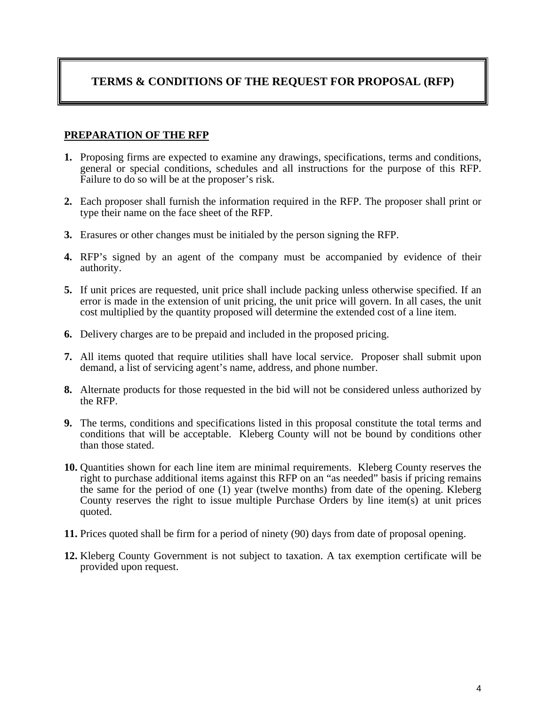## **TERMS & CONDITIONS OF THE REQUEST FOR PROPOSAL (RFP)**

#### **PREPARATION OF THE RFP**

- **1.** Proposing firms are expected to examine any drawings, specifications, terms and conditions, general or special conditions, schedules and all instructions for the purpose of this RFP. Failure to do so will be at the proposer's risk.
- **2.** Each proposer shall furnish the information required in the RFP. The proposer shall print or type their name on the face sheet of the RFP.
- **3.** Erasures or other changes must be initialed by the person signing the RFP.
- **4.** RFP's signed by an agent of the company must be accompanied by evidence of their authority.
- **5.** If unit prices are requested, unit price shall include packing unless otherwise specified. If an error is made in the extension of unit pricing, the unit price will govern. In all cases, the unit cost multiplied by the quantity proposed will determine the extended cost of a line item.
- **6.** Delivery charges are to be prepaid and included in the proposed pricing.
- **7.** All items quoted that require utilities shall have local service. Proposer shall submit upon demand, a list of servicing agent's name, address, and phone number.
- **8.** Alternate products for those requested in the bid will not be considered unless authorized by the RFP.
- **9.** The terms, conditions and specifications listed in this proposal constitute the total terms and conditions that will be acceptable. Kleberg County will not be bound by conditions other than those stated.
- **10.** Quantities shown for each line item are minimal requirements. Kleberg County reserves the right to purchase additional items against this RFP on an "as needed" basis if pricing remains the same for the period of one (1) year (twelve months) from date of the opening. Kleberg County reserves the right to issue multiple Purchase Orders by line item(s) at unit prices quoted.
- **11.** Prices quoted shall be firm for a period of ninety (90) days from date of proposal opening.
- **12.** Kleberg County Government is not subject to taxation. A tax exemption certificate will be provided upon request.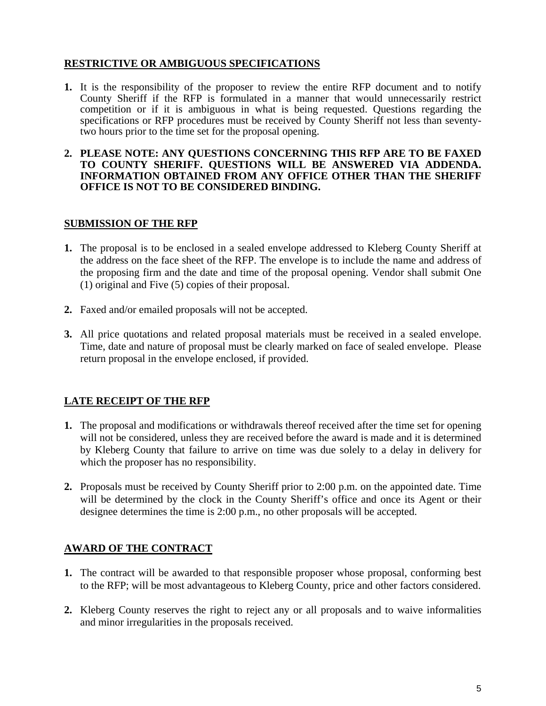## **RESTRICTIVE OR AMBIGUOUS SPECIFICATIONS**

**1.** It is the responsibility of the proposer to review the entire RFP document and to notify County Sheriff if the RFP is formulated in a manner that would unnecessarily restrict competition or if it is ambiguous in what is being requested. Questions regarding the specifications or RFP procedures must be received by County Sheriff not less than seventytwo hours prior to the time set for the proposal opening.

#### **2. PLEASE NOTE: ANY QUESTIONS CONCERNING THIS RFP ARE TO BE FAXED TO COUNTY SHERIFF. QUESTIONS WILL BE ANSWERED VIA ADDENDA. INFORMATION OBTAINED FROM ANY OFFICE OTHER THAN THE SHERIFF OFFICE IS NOT TO BE CONSIDERED BINDING.**

#### **SUBMISSION OF THE RFP**

- **1.** The proposal is to be enclosed in a sealed envelope addressed to Kleberg County Sheriff at the address on the face sheet of the RFP. The envelope is to include the name and address of the proposing firm and the date and time of the proposal opening. Vendor shall submit One (1) original and Five (5) copies of their proposal.
- **2.** Faxed and/or emailed proposals will not be accepted.
- **3.** All price quotations and related proposal materials must be received in a sealed envelope. Time, date and nature of proposal must be clearly marked on face of sealed envelope. Please return proposal in the envelope enclosed, if provided.

## **LATE RECEIPT OF THE RFP**

- **1.** The proposal and modifications or withdrawals thereof received after the time set for opening will not be considered, unless they are received before the award is made and it is determined by Kleberg County that failure to arrive on time was due solely to a delay in delivery for which the proposer has no responsibility.
- **2.** Proposals must be received by County Sheriff prior to 2:00 p.m. on the appointed date. Time will be determined by the clock in the County Sheriff's office and once its Agent or their designee determines the time is 2:00 p.m., no other proposals will be accepted.

#### **AWARD OF THE CONTRACT**

- **1.** The contract will be awarded to that responsible proposer whose proposal, conforming best to the RFP; will be most advantageous to Kleberg County, price and other factors considered.
- **2.** Kleberg County reserves the right to reject any or all proposals and to waive informalities and minor irregularities in the proposals received.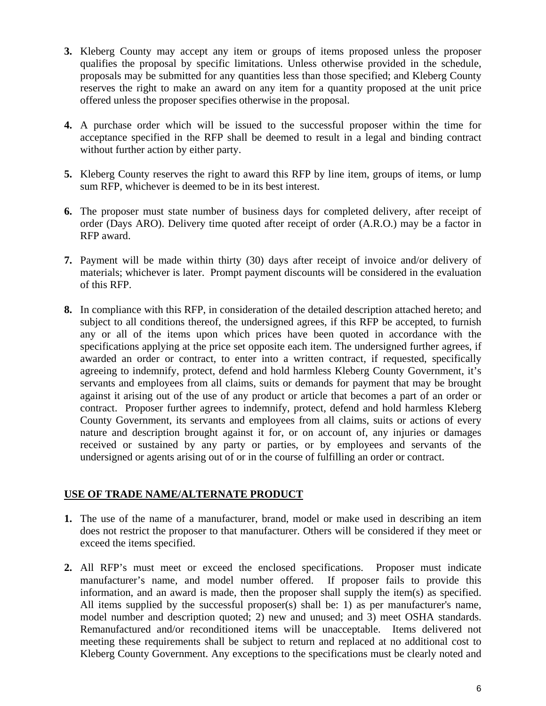- **3.** Kleberg County may accept any item or groups of items proposed unless the proposer qualifies the proposal by specific limitations. Unless otherwise provided in the schedule, proposals may be submitted for any quantities less than those specified; and Kleberg County reserves the right to make an award on any item for a quantity proposed at the unit price offered unless the proposer specifies otherwise in the proposal.
- **4.** A purchase order which will be issued to the successful proposer within the time for acceptance specified in the RFP shall be deemed to result in a legal and binding contract without further action by either party.
- **5.** Kleberg County reserves the right to award this RFP by line item, groups of items, or lump sum RFP, whichever is deemed to be in its best interest.
- **6.** The proposer must state number of business days for completed delivery, after receipt of order (Days ARO). Delivery time quoted after receipt of order (A.R.O.) may be a factor in RFP award.
- **7.** Payment will be made within thirty (30) days after receipt of invoice and/or delivery of materials; whichever is later. Prompt payment discounts will be considered in the evaluation of this RFP.
- **8.** In compliance with this RFP, in consideration of the detailed description attached hereto; and subject to all conditions thereof, the undersigned agrees, if this RFP be accepted, to furnish any or all of the items upon which prices have been quoted in accordance with the specifications applying at the price set opposite each item. The undersigned further agrees, if awarded an order or contract, to enter into a written contract, if requested, specifically agreeing to indemnify, protect, defend and hold harmless Kleberg County Government, it's servants and employees from all claims, suits or demands for payment that may be brought against it arising out of the use of any product or article that becomes a part of an order or contract. Proposer further agrees to indemnify, protect, defend and hold harmless Kleberg County Government, its servants and employees from all claims, suits or actions of every nature and description brought against it for, or on account of, any injuries or damages received or sustained by any party or parties, or by employees and servants of the undersigned or agents arising out of or in the course of fulfilling an order or contract.

#### **USE OF TRADE NAME/ALTERNATE PRODUCT**

- **1.** The use of the name of a manufacturer, brand, model or make used in describing an item does not restrict the proposer to that manufacturer. Others will be considered if they meet or exceed the items specified.
- **2.** All RFP's must meet or exceed the enclosed specifications. Proposer must indicate manufacturer's name, and model number offered. If proposer fails to provide this information, and an award is made, then the proposer shall supply the item(s) as specified. All items supplied by the successful proposer(s) shall be: 1) as per manufacturer's name, model number and description quoted; 2) new and unused; and 3) meet OSHA standards. Remanufactured and/or reconditioned items will be unacceptable. Items delivered not meeting these requirements shall be subject to return and replaced at no additional cost to Kleberg County Government. Any exceptions to the specifications must be clearly noted and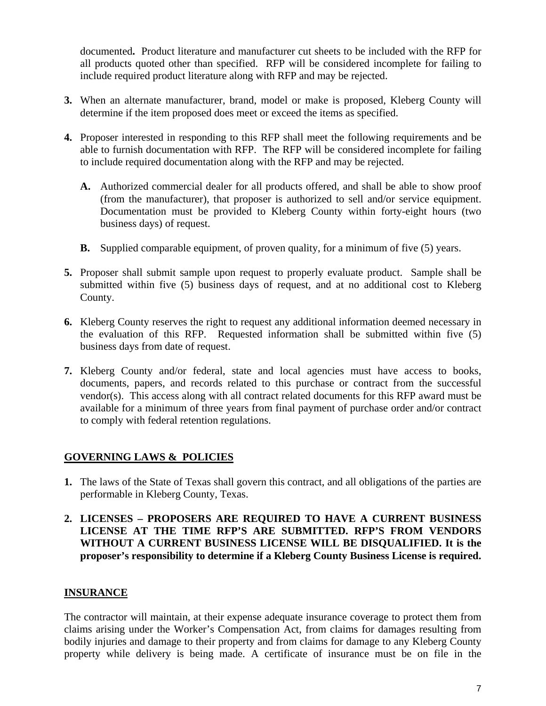documented**.** Product literature and manufacturer cut sheets to be included with the RFP for all products quoted other than specified. RFP will be considered incomplete for failing to include required product literature along with RFP and may be rejected.

- **3.** When an alternate manufacturer, brand, model or make is proposed, Kleberg County will determine if the item proposed does meet or exceed the items as specified.
- **4.** Proposer interested in responding to this RFP shall meet the following requirements and be able to furnish documentation with RFP. The RFP will be considered incomplete for failing to include required documentation along with the RFP and may be rejected.
	- **A.** Authorized commercial dealer for all products offered, and shall be able to show proof (from the manufacturer), that proposer is authorized to sell and/or service equipment. Documentation must be provided to Kleberg County within forty-eight hours (two business days) of request.
	- **B.** Supplied comparable equipment, of proven quality, for a minimum of five (5) years.
- **5.** Proposer shall submit sample upon request to properly evaluate product. Sample shall be submitted within five (5) business days of request, and at no additional cost to Kleberg County.
- **6.** Kleberg County reserves the right to request any additional information deemed necessary in the evaluation of this RFP. Requested information shall be submitted within five (5) business days from date of request.
- **7.** Kleberg County and/or federal, state and local agencies must have access to books, documents, papers, and records related to this purchase or contract from the successful vendor(s). This access along with all contract related documents for this RFP award must be available for a minimum of three years from final payment of purchase order and/or contract to comply with federal retention regulations.

#### **GOVERNING LAWS & POLICIES**

- **1.** The laws of the State of Texas shall govern this contract, and all obligations of the parties are performable in Kleberg County, Texas.
- **2. LICENSES – PROPOSERS ARE REQUIRED TO HAVE A CURRENT BUSINESS LICENSE AT THE TIME RFP'S ARE SUBMITTED. RFP'S FROM VENDORS WITHOUT A CURRENT BUSINESS LICENSE WILL BE DISQUALIFIED. It is the proposer's responsibility to determine if a Kleberg County Business License is required.**

#### **INSURANCE**

The contractor will maintain, at their expense adequate insurance coverage to protect them from claims arising under the Worker's Compensation Act, from claims for damages resulting from bodily injuries and damage to their property and from claims for damage to any Kleberg County property while delivery is being made. A certificate of insurance must be on file in the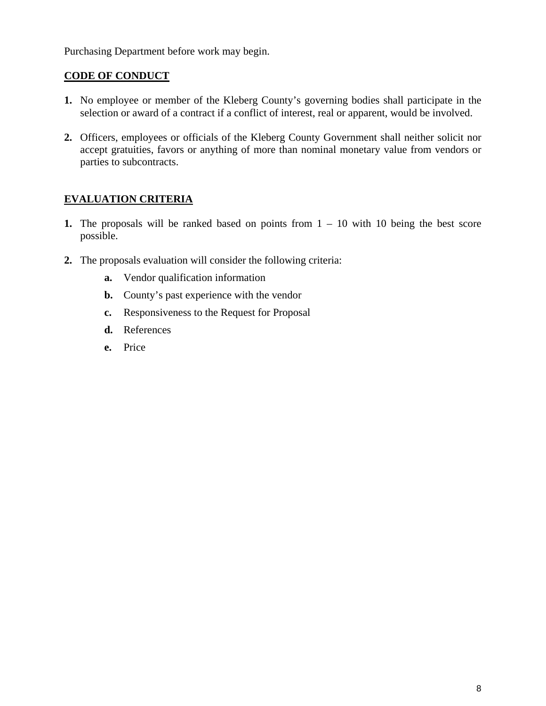Purchasing Department before work may begin.

## **CODE OF CONDUCT**

- **1.** No employee or member of the Kleberg County's governing bodies shall participate in the selection or award of a contract if a conflict of interest, real or apparent, would be involved.
- **2.** Officers, employees or officials of the Kleberg County Government shall neither solicit nor accept gratuities, favors or anything of more than nominal monetary value from vendors or parties to subcontracts.

## **EVALUATION CRITERIA**

- **1.** The proposals will be ranked based on points from 1 10 with 10 being the best score possible.
- **2.** The proposals evaluation will consider the following criteria:
	- **a.** Vendor qualification information
	- **b.** County's past experience with the vendor
	- **c.** Responsiveness to the Request for Proposal
	- **d.** References
	- **e.** Price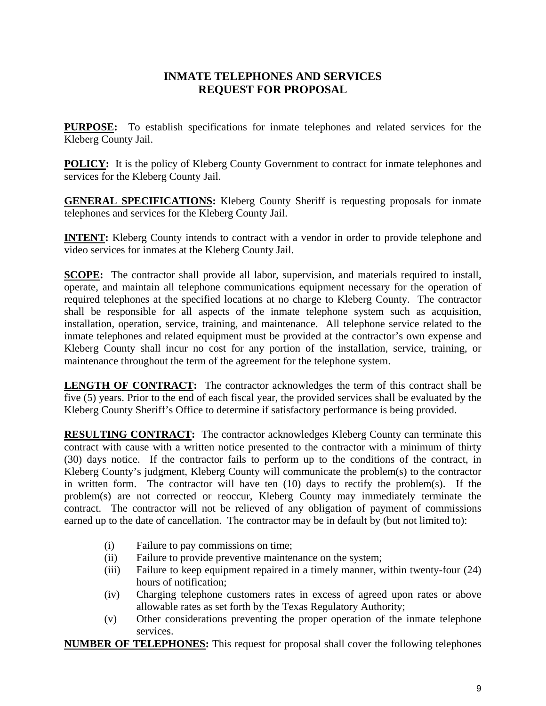## **INMATE TELEPHONES AND SERVICES REQUEST FOR PROPOSAL**

**PURPOSE:** To establish specifications for inmate telephones and related services for the Kleberg County Jail.

**POLICY:** It is the policy of Kleberg County Government to contract for inmate telephones and services for the Kleberg County Jail.

**GENERAL SPECIFICATIONS:** Kleberg County Sheriff is requesting proposals for inmate telephones and services for the Kleberg County Jail.

**INTENT:** Kleberg County intends to contract with a vendor in order to provide telephone and video services for inmates at the Kleberg County Jail.

**SCOPE:** The contractor shall provide all labor, supervision, and materials required to install, operate, and maintain all telephone communications equipment necessary for the operation of required telephones at the specified locations at no charge to Kleberg County. The contractor shall be responsible for all aspects of the inmate telephone system such as acquisition, installation, operation, service, training, and maintenance. All telephone service related to the inmate telephones and related equipment must be provided at the contractor's own expense and Kleberg County shall incur no cost for any portion of the installation, service, training, or maintenance throughout the term of the agreement for the telephone system.

**LENGTH OF CONTRACT:** The contractor acknowledges the term of this contract shall be five (5) years. Prior to the end of each fiscal year, the provided services shall be evaluated by the Kleberg County Sheriff's Office to determine if satisfactory performance is being provided.

**RESULTING CONTRACT:** The contractor acknowledges Kleberg County can terminate this contract with cause with a written notice presented to the contractor with a minimum of thirty (30) days notice. If the contractor fails to perform up to the conditions of the contract, in Kleberg County's judgment, Kleberg County will communicate the problem(s) to the contractor in written form. The contractor will have ten (10) days to rectify the problem(s). If the problem(s) are not corrected or reoccur, Kleberg County may immediately terminate the contract. The contractor will not be relieved of any obligation of payment of commissions earned up to the date of cancellation. The contractor may be in default by (but not limited to):

- (i) Failure to pay commissions on time;
- (ii) Failure to provide preventive maintenance on the system;
- (iii) Failure to keep equipment repaired in a timely manner, within twenty-four (24) hours of notification;
- (iv) Charging telephone customers rates in excess of agreed upon rates or above allowable rates as set forth by the Texas Regulatory Authority;
- (v) Other considerations preventing the proper operation of the inmate telephone services.

**NUMBER OF TELEPHONES:** This request for proposal shall cover the following telephones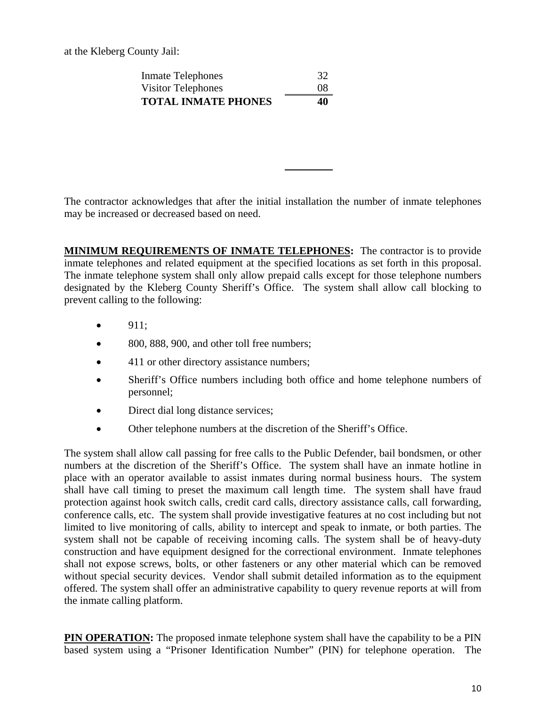at the Kleberg County Jail:

| <b>Inmate Telephones</b>   | 32 |
|----------------------------|----|
| Visitor Telephones         | 08 |
| <b>TOTAL INMATE PHONES</b> | 40 |

The contractor acknowledges that after the initial installation the number of inmate telephones may be increased or decreased based on need.

**MINIMUM REQUIREMENTS OF INMATE TELEPHONES:** The contractor is to provide inmate telephones and related equipment at the specified locations as set forth in this proposal. The inmate telephone system shall only allow prepaid calls except for those telephone numbers designated by the Kleberg County Sheriff's Office. The system shall allow call blocking to prevent calling to the following:

- $•$  911:
- 800, 888, 900, and other toll free numbers;
- 411 or other directory assistance numbers;
- Sheriff's Office numbers including both office and home telephone numbers of personnel;
- Direct dial long distance services;
- Other telephone numbers at the discretion of the Sheriff's Office.

The system shall allow call passing for free calls to the Public Defender, bail bondsmen, or other numbers at the discretion of the Sheriff's Office. The system shall have an inmate hotline in place with an operator available to assist inmates during normal business hours. The system shall have call timing to preset the maximum call length time. The system shall have fraud protection against hook switch calls, credit card calls, directory assistance calls, call forwarding, conference calls, etc. The system shall provide investigative features at no cost including but not limited to live monitoring of calls, ability to intercept and speak to inmate, or both parties. The system shall not be capable of receiving incoming calls. The system shall be of heavy-duty construction and have equipment designed for the correctional environment. Inmate telephones shall not expose screws, bolts, or other fasteners or any other material which can be removed without special security devices. Vendor shall submit detailed information as to the equipment offered. The system shall offer an administrative capability to query revenue reports at will from the inmate calling platform.

**PIN OPERATION:** The proposed inmate telephone system shall have the capability to be a PIN based system using a "Prisoner Identification Number" (PIN) for telephone operation. The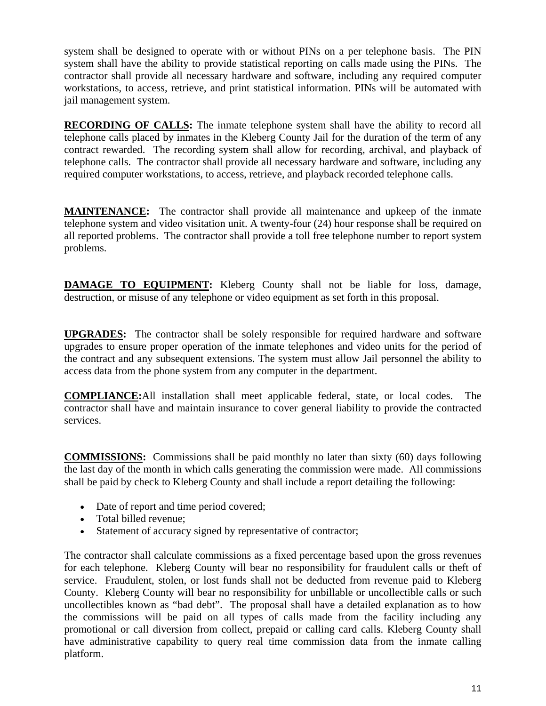system shall be designed to operate with or without PINs on a per telephone basis. The PIN system shall have the ability to provide statistical reporting on calls made using the PINs. The contractor shall provide all necessary hardware and software, including any required computer workstations, to access, retrieve, and print statistical information. PINs will be automated with jail management system.

**RECORDING OF CALLS:** The inmate telephone system shall have the ability to record all telephone calls placed by inmates in the Kleberg County Jail for the duration of the term of any contract rewarded. The recording system shall allow for recording, archival, and playback of telephone calls. The contractor shall provide all necessary hardware and software, including any required computer workstations, to access, retrieve, and playback recorded telephone calls.

**MAINTENANCE:** The contractor shall provide all maintenance and upkeep of the inmate telephone system and video visitation unit. A twenty-four (24) hour response shall be required on all reported problems. The contractor shall provide a toll free telephone number to report system problems.

**DAMAGE TO EQUIPMENT:** Kleberg County shall not be liable for loss, damage, destruction, or misuse of any telephone or video equipment as set forth in this proposal.

**UPGRADES:** The contractor shall be solely responsible for required hardware and software upgrades to ensure proper operation of the inmate telephones and video units for the period of the contract and any subsequent extensions. The system must allow Jail personnel the ability to access data from the phone system from any computer in the department.

**COMPLIANCE:**All installation shall meet applicable federal, state, or local codes. The contractor shall have and maintain insurance to cover general liability to provide the contracted services.

**COMMISSIONS:** Commissions shall be paid monthly no later than sixty (60) days following the last day of the month in which calls generating the commission were made. All commissions shall be paid by check to Kleberg County and shall include a report detailing the following:

- Date of report and time period covered;
- Total billed revenue;
- Statement of accuracy signed by representative of contractor;

The contractor shall calculate commissions as a fixed percentage based upon the gross revenues for each telephone. Kleberg County will bear no responsibility for fraudulent calls or theft of service. Fraudulent, stolen, or lost funds shall not be deducted from revenue paid to Kleberg County. Kleberg County will bear no responsibility for unbillable or uncollectible calls or such uncollectibles known as "bad debt". The proposal shall have a detailed explanation as to how the commissions will be paid on all types of calls made from the facility including any promotional or call diversion from collect, prepaid or calling card calls. Kleberg County shall have administrative capability to query real time commission data from the inmate calling platform.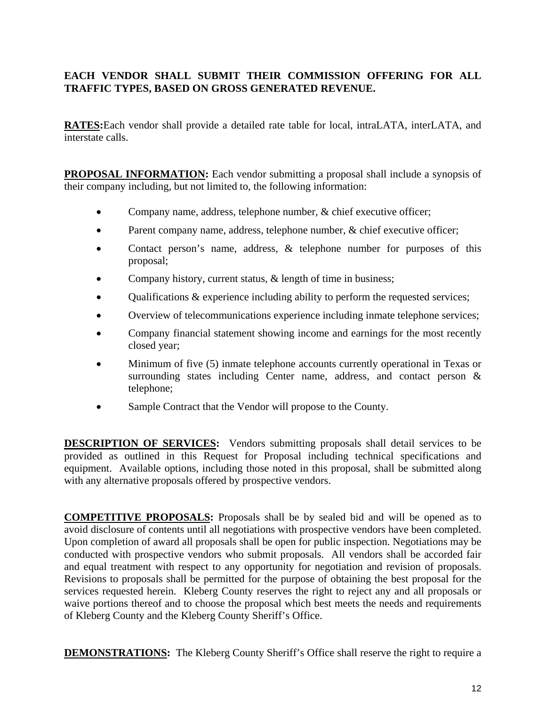## **EACH VENDOR SHALL SUBMIT THEIR COMMISSION OFFERING FOR ALL TRAFFIC TYPES, BASED ON GROSS GENERATED REVENUE.**

**RATES:**Each vendor shall provide a detailed rate table for local, intraLATA, interLATA, and interstate calls.

**PROPOSAL INFORMATION:** Each vendor submitting a proposal shall include a synopsis of their company including, but not limited to, the following information:

- Company name, address, telephone number, & chief executive officer;
- Parent company name, address, telephone number, & chief executive officer;
- Contact person's name, address, & telephone number for purposes of this proposal;
- Company history, current status, & length of time in business;
- Qualifications & experience including ability to perform the requested services;
- Overview of telecommunications experience including inmate telephone services;
- Company financial statement showing income and earnings for the most recently closed year;
- Minimum of five (5) inmate telephone accounts currently operational in Texas or surrounding states including Center name, address, and contact person & telephone;
- Sample Contract that the Vendor will propose to the County.

**DESCRIPTION OF SERVICES:** Vendors submitting proposals shall detail services to be provided as outlined in this Request for Proposal including technical specifications and equipment. Available options, including those noted in this proposal, shall be submitted along with any alternative proposals offered by prospective vendors.

**COMPETITIVE PROPOSALS:** Proposals shall be by sealed bid and will be opened as to avoid disclosure of contents until all negotiations with prospective vendors have been completed. Upon completion of award all proposals shall be open for public inspection. Negotiations may be conducted with prospective vendors who submit proposals. All vendors shall be accorded fair and equal treatment with respect to any opportunity for negotiation and revision of proposals. Revisions to proposals shall be permitted for the purpose of obtaining the best proposal for the services requested herein. Kleberg County reserves the right to reject any and all proposals or waive portions thereof and to choose the proposal which best meets the needs and requirements of Kleberg County and the Kleberg County Sheriff's Office.

**DEMONSTRATIONS:** The Kleberg County Sheriff's Office shall reserve the right to require a